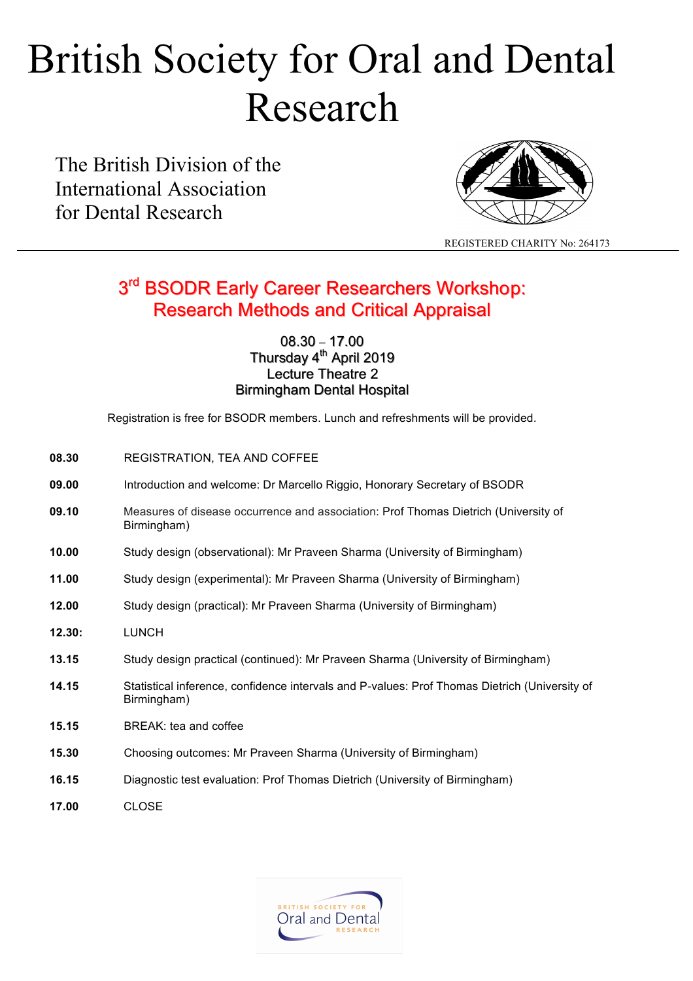# British Society for Oral and Dental Research

The British Division of the International Association for Dental Research



REGISTERED CHARITY No: 264173

### 3<sup>rd</sup> BSODR Early Career Researchers Workshop: Research Methods and Critical Appraisal Research Methods and Critical Appraisal

08.30 – 17.00 Thursday 4<sup>th</sup> April 2019 Lecture Theatre 2 Birmingham Dental Hospital

Registration is free for BSODR members. Lunch and refreshments will be provided.

- **08.30** REGISTRATION, TEA AND COFFEE
- **09.00** Introduction and welcome: Dr Marcello Riggio, Honorary Secretary of BSODR
- **09.10** Measures of disease occurrence and association: Prof Thomas Dietrich (University of Birmingham)
- **10.00** Study design (observational): Mr Praveen Sharma (University of Birmingham)
- **11.00** Study design (experimental): Mr Praveen Sharma (University of Birmingham)
- **12.00** Study design (practical): Mr Praveen Sharma (University of Birmingham)
- **12.30:** LUNCH
- **13.15** Study design practical (continued): Mr Praveen Sharma (University of Birmingham)
- **14.15** Statistical inference, confidence intervals and P-values: Prof Thomas Dietrich (University of Birmingham)
- **15.15** BREAK: tea and coffee
- **15.30** Choosing outcomes: Mr Praveen Sharma (University of Birmingham)
- **16.15** Diagnostic test evaluation: Prof Thomas Dietrich (University of Birmingham)
- **17.00** CLOSE